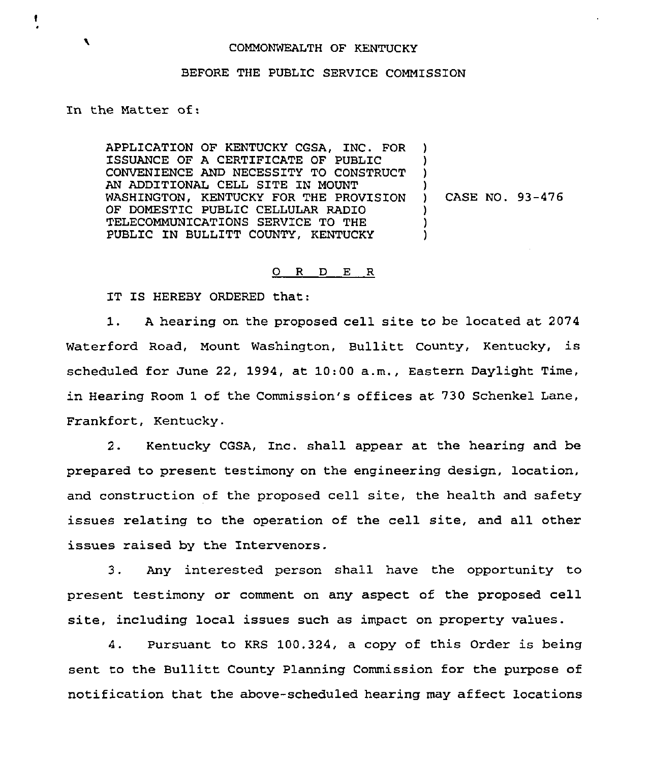## COMMONWEALTH OF KENTUCKY

## BEFORE THE PUBLIC SERVICE COMMISSION

In the Matter of:

APPLICATION OF KENTUCKY CGSA, INC. FOR ISSUANCE OF A CERTIFICATE OF PUBLIC CONVENIENCE AND NECESSITY TO CONSTRUCT AN ADDITIONAL CELL SITE IN MOUNT WASHINGTON, KENTUCKY FOR THE PROVISION OF DOMESTIC PUBLIC CELLULAR RADIO TELECOMMUNICATIONS SERVICE TO THE PUBLIC IN BULLITT COUNTY, KENTUCKY )

) ) CASE NO. 93-476

) )

> ) ) )

## 0 <sup>R</sup> <sup>D</sup> E R

IT IS HEREBY ORDERED that:

1. <sup>A</sup> hearing on the proposed cell site to be located at <sup>2074</sup> Waterford Road, Mount Washington, Bullitt County, Kentucky, is scheduled for June 22, 1994, at 10:00 a.m., Eastern Daylight Time, in Hearing Room 1 of the Commission's offices at. 730 Schenkel Lane, Frankfort, Kentucky.

2. Kentucky CGSA, Inc. shall appear at the hearing and be prepared to present testimony on the engineering design, location, and construction of the proposed cell site, the health and safety issues relating to the operation of the cell site, and all other issues raised by the Intervenors,

3. Any interested person shall have the opportunity to present testimony or comment on any aspect of the proposed cell site, including local issues such as impact on property values.

4. Pursuant to KRS 100.324, a copy of this Order is being sent to the Bullitt County Planning Commission for the purpose of notification that the above-scheduled hearing may affect locations

 $\blacktriangleright$ 

٠